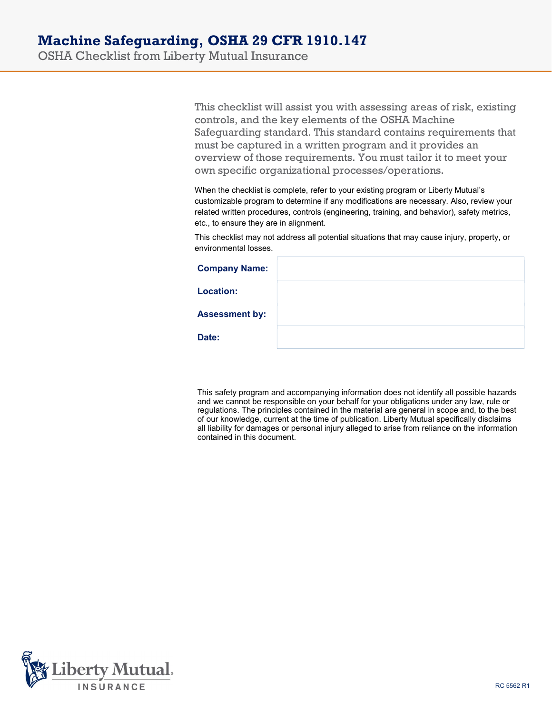OSHA Checklist from Liberty Mutual Insurance

This checklist will assist you with assessing areas of risk, existing controls, and the key elements of the OSHA Machine Safeguarding standard. This standard contains requirements that must be captured in a written program and it provides an overview of those requirements. You must tailor it to meet your own specific organizational processes/operations.

When the checklist is complete, refer to your existing program or Liberty Mutual's customizable program to determine if any modifications are necessary. Also, review your related written procedures, controls (engineering, training, and behavior), safety metrics, etc., to ensure they are in alignment.

This checklist may not address all potential situations that may cause injury, property, or environmental losses.

| <b>Company Name:</b>  |  |
|-----------------------|--|
| <b>Location:</b>      |  |
| <b>Assessment by:</b> |  |
| Date:                 |  |

This safety program and accompanying information does not identify all possible hazards and we cannot be responsible on your behalf for your obligations under any law, rule or regulations. The principles contained in the material are general in scope and, to the best of our knowledge, current at the time of publication. Liberty Mutual specifically disclaims all liability for damages or personal injury alleged to arise from reliance on the information contained in this document.

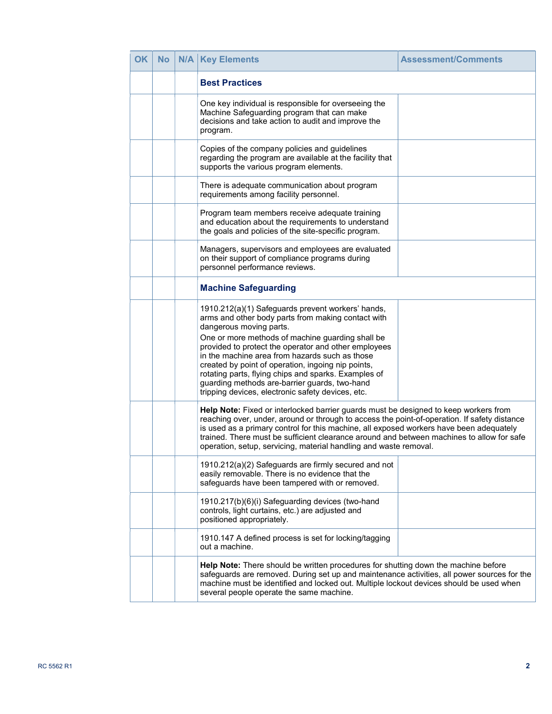| <b>OK</b> | No | N/A | <b>Key Elements</b>                                                                                                                                                                                                                                                                                                                                                                                                                                                                                                  | <b>Assessment/Comments</b> |
|-----------|----|-----|----------------------------------------------------------------------------------------------------------------------------------------------------------------------------------------------------------------------------------------------------------------------------------------------------------------------------------------------------------------------------------------------------------------------------------------------------------------------------------------------------------------------|----------------------------|
|           |    |     | <b>Best Practices</b>                                                                                                                                                                                                                                                                                                                                                                                                                                                                                                |                            |
|           |    |     | One key individual is responsible for overseeing the<br>Machine Safeguarding program that can make<br>decisions and take action to audit and improve the<br>program.                                                                                                                                                                                                                                                                                                                                                 |                            |
|           |    |     | Copies of the company policies and guidelines<br>regarding the program are available at the facility that<br>supports the various program elements.                                                                                                                                                                                                                                                                                                                                                                  |                            |
|           |    |     | There is adequate communication about program<br>requirements among facility personnel.                                                                                                                                                                                                                                                                                                                                                                                                                              |                            |
|           |    |     | Program team members receive adequate training<br>and education about the requirements to understand<br>the goals and policies of the site-specific program.                                                                                                                                                                                                                                                                                                                                                         |                            |
|           |    |     | Managers, supervisors and employees are evaluated<br>on their support of compliance programs during<br>personnel performance reviews.                                                                                                                                                                                                                                                                                                                                                                                |                            |
|           |    |     | <b>Machine Safeguarding</b>                                                                                                                                                                                                                                                                                                                                                                                                                                                                                          |                            |
|           |    |     | 1910.212(a)(1) Safeguards prevent workers' hands,<br>arms and other body parts from making contact with<br>dangerous moving parts.<br>One or more methods of machine guarding shall be<br>provided to protect the operator and other employees<br>in the machine area from hazards such as those<br>created by point of operation, ingoing nip points,<br>rotating parts, flying chips and sparks. Examples of<br>guarding methods are-barrier guards, two-hand<br>tripping devices, electronic safety devices, etc. |                            |
|           |    |     | Help Note: Fixed or interlocked barrier guards must be designed to keep workers from<br>reaching over, under, around or through to access the point-of-operation. If safety distance<br>is used as a primary control for this machine, all exposed workers have been adequately<br>trained. There must be sufficient clearance around and between machines to allow for safe<br>operation, setup, servicing, material handling and waste removal.                                                                    |                            |
|           |    |     | 1910.212(a)(2) Safeguards are firmly secured and not<br>easily removable. There is no evidence that the<br>safeguards have been tampered with or removed.                                                                                                                                                                                                                                                                                                                                                            |                            |
|           |    |     | 1910.217(b)(6)(i) Safeguarding devices (two-hand<br>controls, light curtains, etc.) are adjusted and<br>positioned appropriately.                                                                                                                                                                                                                                                                                                                                                                                    |                            |
|           |    |     | 1910.147 A defined process is set for locking/tagging<br>out a machine.                                                                                                                                                                                                                                                                                                                                                                                                                                              |                            |
|           |    |     | Help Note: There should be written procedures for shutting down the machine before<br>safeguards are removed. During set up and maintenance activities, all power sources for the<br>machine must be identified and locked out. Multiple lockout devices should be used when<br>several people operate the same machine.                                                                                                                                                                                             |                            |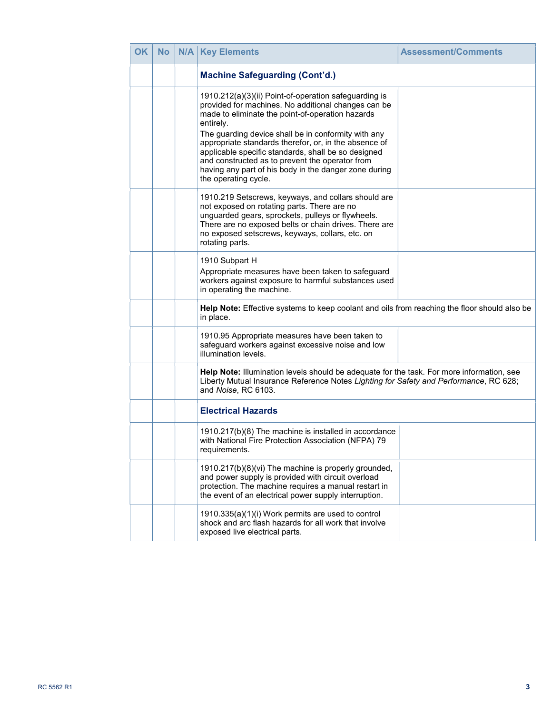| <b>OK</b> | <b>No</b> | N/A | <b>Key Elements</b>                                                                                                                                                                                                                                                                                                                                                                                                                                                                      | <b>Assessment/Comments</b> |
|-----------|-----------|-----|------------------------------------------------------------------------------------------------------------------------------------------------------------------------------------------------------------------------------------------------------------------------------------------------------------------------------------------------------------------------------------------------------------------------------------------------------------------------------------------|----------------------------|
|           |           |     | <b>Machine Safeguarding (Cont'd.)</b>                                                                                                                                                                                                                                                                                                                                                                                                                                                    |                            |
|           |           |     | 1910.212(a)(3)(ii) Point-of-operation safeguarding is<br>provided for machines. No additional changes can be<br>made to eliminate the point-of-operation hazards<br>entirely.<br>The guarding device shall be in conformity with any<br>appropriate standards therefor, or, in the absence of<br>applicable specific standards, shall be so designed<br>and constructed as to prevent the operator from<br>having any part of his body in the danger zone during<br>the operating cycle. |                            |
|           |           |     | 1910.219 Setscrews, keyways, and collars should are<br>not exposed on rotating parts. There are no<br>unguarded gears, sprockets, pulleys or flywheels.<br>There are no exposed belts or chain drives. There are<br>no exposed setscrews, keyways, collars, etc. on<br>rotating parts.                                                                                                                                                                                                   |                            |
|           |           |     | 1910 Subpart H<br>Appropriate measures have been taken to safeguard<br>workers against exposure to harmful substances used<br>in operating the machine.                                                                                                                                                                                                                                                                                                                                  |                            |
|           |           |     | Help Note: Effective systems to keep coolant and oils from reaching the floor should also be<br>in place.                                                                                                                                                                                                                                                                                                                                                                                |                            |
|           |           |     | 1910.95 Appropriate measures have been taken to<br>safeguard workers against excessive noise and low<br>illumination levels.                                                                                                                                                                                                                                                                                                                                                             |                            |
|           |           |     | Help Note: Illumination levels should be adequate for the task. For more information, see<br>Liberty Mutual Insurance Reference Notes Lighting for Safety and Performance, RC 628;<br>and Noise, RC 6103.                                                                                                                                                                                                                                                                                |                            |
|           |           |     | <b>Electrical Hazards</b>                                                                                                                                                                                                                                                                                                                                                                                                                                                                |                            |
|           |           |     | 1910.217(b)(8) The machine is installed in accordance<br>with National Fire Protection Association (NFPA) 79<br>requirements.                                                                                                                                                                                                                                                                                                                                                            |                            |
|           |           |     | 1910.217(b)(8)(vi) The machine is properly grounded,<br>and power supply is provided with circuit overload<br>protection. The machine requires a manual restart in<br>the event of an electrical power supply interruption.                                                                                                                                                                                                                                                              |                            |
|           |           |     | 1910.335(a)(1)(i) Work permits are used to control<br>shock and arc flash hazards for all work that involve<br>exposed live electrical parts.                                                                                                                                                                                                                                                                                                                                            |                            |